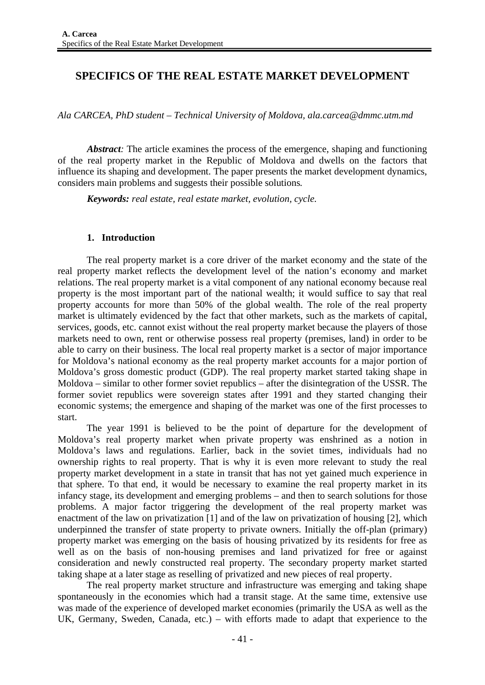# **SPECIFICS OF THE REAL ESTATE MARKET DEVELOPMENT**

*Ala CARCEA, PhD student – Technical University of Moldova, ala.carcea@dmmc.utm.md* 

*Abstract*: The article examines the process of the emergence, shaping and functioning of the real property market in the Republic of Moldova and dwells on the factors that influence its shaping and development. The paper presents the market development dynamics, considers main problems and suggests their possible solutions*.*

*Keywords: real estate, real estate market, evolution, cycle.* 

## **1. Introduction**

The real property market is a core driver of the market economy and the state of the real property market reflects the development level of the nation's economy and market relations. The real property market is a vital component of any national economy because real property is the most important part of the national wealth; it would suffice to say that real property accounts for more than 50% of the global wealth. The role of the real property market is ultimately evidenced by the fact that other markets, such as the markets of capital, services, goods, etc. cannot exist without the real property market because the players of those markets need to own, rent or otherwise possess real property (premises, land) in order to be able to carry on their business. The local real property market is a sector of major importance for Moldova's national economy as the real property market accounts for a major portion of Moldova's gross domestic product (GDP). The real property market started taking shape in Moldova – similar to other former soviet republics – after the disintegration of the USSR. The former soviet republics were sovereign states after 1991 and they started changing their economic systems; the emergence and shaping of the market was one of the first processes to start.

The year 1991 is believed to be the point of departure for the development of Moldova's real property market when private property was enshrined as a notion in Moldova's laws and regulations. Earlier, back in the soviet times, individuals had no ownership rights to real property. That is why it is even more relevant to study the real property market development in a state in transit that has not yet gained much experience in that sphere. To that end, it would be necessary to examine the real property market in its infancy stage, its development and emerging problems – and then to search solutions for those problems. A major factor triggering the development of the real property market was enactment of the law on privatization [1] and of the law on privatization of housing [2], which underpinned the transfer of state property to private owners. Initially the off-plan (primary) property market was emerging on the basis of housing privatized by its residents for free as well as on the basis of non-housing premises and land privatized for free or against consideration and newly constructed real property. The secondary property market started taking shape at a later stage as reselling of privatized and new pieces of real property.

The real property market structure and infrastructure was emerging and taking shape spontaneously in the economies which had a transit stage. At the same time, extensive use was made of the experience of developed market economies (primarily the USA as well as the UK, Germany, Sweden, Canada, etc.) – with efforts made to adapt that experience to the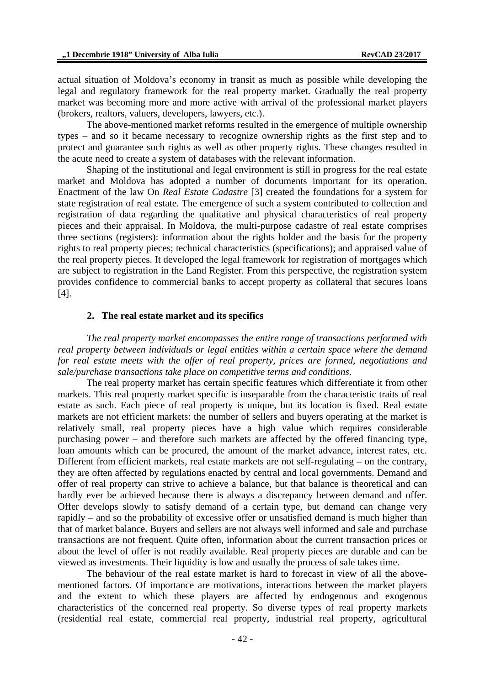actual situation of Moldova's economy in transit as much as possible while developing the legal and regulatory framework for the real property market. Gradually the real property market was becoming more and more active with arrival of the professional market players (brokers, realtors, valuers, developers, lawyers, etc.).

The above-mentioned market reforms resulted in the emergence of multiple ownership types – and so it became necessary to recognize ownership rights as the first step and to protect and guarantee such rights as well as other property rights. These changes resulted in the acute need to create a system of databases with the relevant information.

Shaping of the institutional and legal environment is still in progress for the real estate market and Moldova has adopted a number of documents important for its operation. Enactment of the law On *Real Estate Cadastre* [3] created the foundations for a system for state registration of real estate. The emergence of such a system contributed to collection and registration of data regarding the qualitative and physical characteristics of real property pieces and their appraisal. In Moldova, the multi-purpose cadastre of real estate comprises three sections (registers): information about the rights holder and the basis for the property rights to real property pieces; technical characteristics (specifications); and appraised value of the real property pieces. It developed the legal framework for registration of mortgages which are subject to registration in the Land Register. From this perspective, the registration system provides confidence to commercial banks to accept property as collateral that secures loans [4].

## **2. The real estate market and its specifics**

*The real property market encompasses the entire range of transactions performed with real property between individuals or legal entities within a certain space where the demand for real estate meets with the offer of real property, prices are formed, negotiations and sale/purchase transactions take place on competitive terms and conditions*.

The real property market has certain specific features which differentiate it from other markets. This real property market specific is inseparable from the characteristic traits of real estate as such. Each piece of real property is unique, but its location is fixed. Real estate markets are not efficient markets: the number of sellers and buyers operating at the market is relatively small, real property pieces have a high value which requires considerable purchasing power – and therefore such markets are affected by the offered financing type, loan amounts which can be procured, the amount of the market advance, interest rates, etc. Different from efficient markets, real estate markets are not self-regulating – on the contrary, they are often affected by regulations enacted by central and local governments. Demand and offer of real property can strive to achieve a balance, but that balance is theoretical and can hardly ever be achieved because there is always a discrepancy between demand and offer. Offer develops slowly to satisfy demand of a certain type, but demand can change very rapidly – and so the probability of excessive offer or unsatisfied demand is much higher than that of market balance. Buyers and sellers are not always well informed and sale and purchase transactions are not frequent. Quite often, information about the current transaction prices or about the level of offer is not readily available. Real property pieces are durable and can be viewed as investments. Their liquidity is low and usually the process of sale takes time.

The behaviour of the real estate market is hard to forecast in view of all the abovementioned factors. Of importance are motivations, interactions between the market players and the extent to which these players are affected by endogenous and exogenous characteristics of the concerned real property. So diverse types of real property markets (residential real estate, commercial real property, industrial real property, agricultural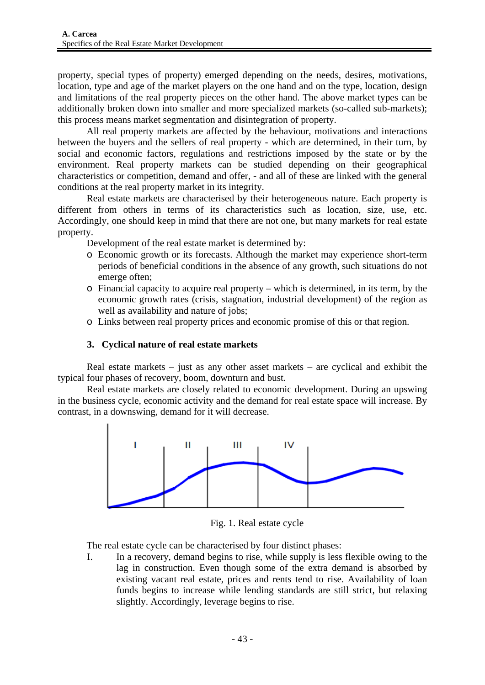property, special types of property) emerged depending on the needs, desires, motivations, location, type and age of the market players on the one hand and on the type, location, design and limitations of the real property pieces on the other hand. The above market types can be additionally broken down into smaller and more specialized markets (so-called sub-markets); this process means market segmentation and disintegration of property.

All real property markets are affected by the behaviour, motivations and interactions between the buyers and the sellers of real property - which are determined, in their turn, by social and economic factors, regulations and restrictions imposed by the state or by the environment. Real property markets can be studied depending on their geographical characteristics or competition, demand and offer, - and all of these are linked with the general conditions at the real property market in its integrity.

Real estate markets are characterised by their heterogeneous nature. Each property is different from others in terms of its characteristics such as location, size, use, etc. Accordingly, one should keep in mind that there are not one, but many markets for real estate property.

Development of the real estate market is determined by:

- o Economic growth or its forecasts. Although the market may experience short-term periods of beneficial conditions in the absence of any growth, such situations do not emerge often;
- o Financial capacity to acquire real property which is determined, in its term, by the economic growth rates (crisis, stagnation, industrial development) of the region as well as availability and nature of jobs;
- o Links between real property prices and economic promise of this or that region.

## **3. Cyclical nature of real estate markets**

Real estate markets – just as any other asset markets – are cyclical and exhibit the typical four phases of recovery, boom, downturn and bust.

Real estate markets are closely related to economic development. During an upswing in the business cycle, economic activity and the demand for real estate space will increase. By contrast, in a downswing, demand for it will decrease.



Fig. 1. Real estate cycle

The real estate cycle can be characterised by four distinct phases:

I. In a recovery, demand begins to rise, while supply is less flexible owing to the lag in construction. Even though some of the extra demand is absorbed by existing vacant real estate, prices and rents tend to rise. Availability of loan funds begins to increase while lending standards are still strict, but relaxing slightly. Accordingly, leverage begins to rise.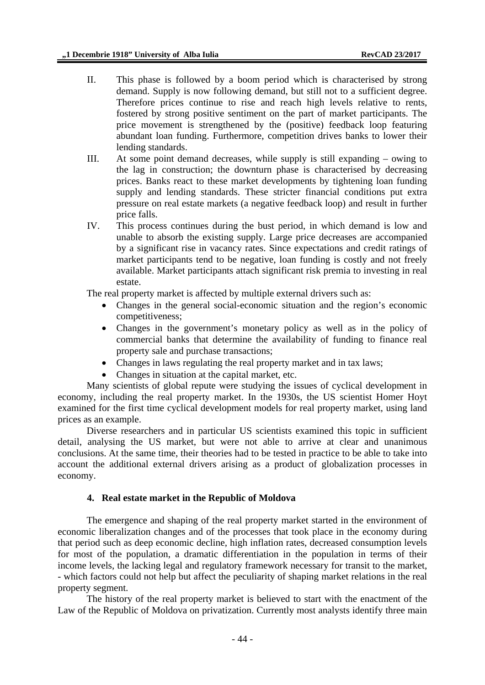- II. This phase is followed by a boom period which is characterised by strong demand. Supply is now following demand, but still not to a sufficient degree. Therefore prices continue to rise and reach high levels relative to rents, fostered by strong positive sentiment on the part of market participants. The price movement is strengthened by the (positive) feedback loop featuring abundant loan funding. Furthermore, competition drives banks to lower their lending standards.
- III. At some point demand decreases, while supply is still expanding owing to the lag in construction; the downturn phase is characterised by decreasing prices. Banks react to these market developments by tightening loan funding supply and lending standards. These stricter financial conditions put extra pressure on real estate markets (a negative feedback loop) and result in further price falls.
- IV. This process continues during the bust period, in which demand is low and unable to absorb the existing supply. Large price decreases are accompanied by a significant rise in vacancy rates. Since expectations and credit ratings of market participants tend to be negative, loan funding is costly and not freely available. Market participants attach significant risk premia to investing in real estate.

The real property market is affected by multiple external drivers such as:

- Changes in the general social-economic situation and the region's economic competitiveness;
- Changes in the government's monetary policy as well as in the policy of commercial banks that determine the availability of funding to finance real property sale and purchase transactions;
- Changes in laws regulating the real property market and in tax laws;
- Changes in situation at the capital market, etc.

Many scientists of global repute were studying the issues of cyclical development in economy, including the real property market. In the 1930s, the US scientist Homer Hoyt examined for the first time cyclical development models for real property market, using land prices as an example.

Diverse researchers and in particular US scientists examined this topic in sufficient detail, analysing the US market, but were not able to arrive at clear and unanimous conclusions. At the same time, their theories had to be tested in practice to be able to take into account the additional external drivers arising as a product of globalization processes in economy.

## **4. Real estate market in the Republic of Moldova**

The emergence and shaping of the real property market started in the environment of economic liberalization changes and of the processes that took place in the economy during that period such as deep economic decline, high inflation rates, decreased consumption levels for most of the population, a dramatic differentiation in the population in terms of their income levels, the lacking legal and regulatory framework necessary for transit to the market, - which factors could not help but affect the peculiarity of shaping market relations in the real property segment.

The history of the real property market is believed to start with the enactment of the Law of the Republic of Moldova on privatization. Currently most analysts identify three main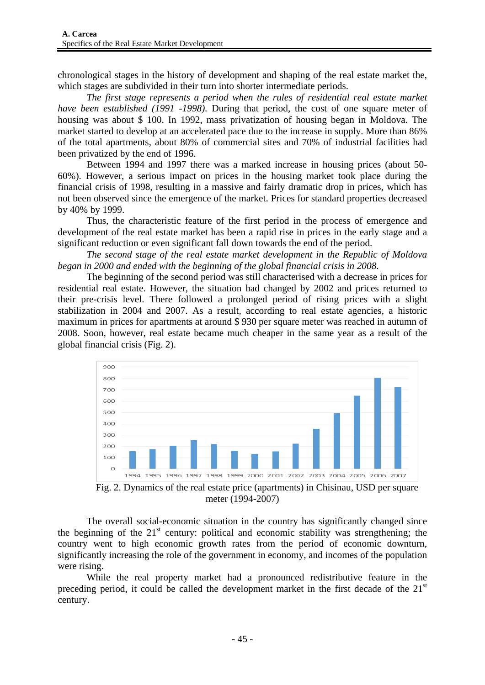chronological stages in the history of development and shaping of the real estate market the, which stages are subdivided in their turn into shorter intermediate periods.

*The first stage represents a period when the rules of residential real estate market have been established (1991 -1998).* During that period, the cost of one square meter of housing was about \$ 100. In 1992, mass privatization of housing began in Moldova. The market started to develop at an accelerated pace due to the increase in supply. More than 86% of the total apartments, about 80% of commercial sites and 70% of industrial facilities had been privatized by the end of 1996.

Between 1994 and 1997 there was a marked increase in housing prices (about 50- 60%). However, a serious impact on prices in the housing market took place during the financial crisis of 1998, resulting in a massive and fairly dramatic drop in prices, which has not been observed since the emergence of the market. Prices for standard properties decreased by 40% by 1999.

Thus, the characteristic feature of the first period in the process of emergence and development of the real estate market has been a rapid rise in prices in the early stage and a significant reduction or even significant fall down towards the end of the period.

*The second stage of the real estate market development in the Republic of Moldova began in 2000 and ended with the beginning of the global financial crisis in 2008*.

The beginning of the second period was still characterised with a decrease in prices for residential real estate. However, the situation had changed by 2002 and prices returned to their pre-crisis level. There followed a prolonged period of rising prices with a slight stabilization in 2004 and 2007. As a result, according to real estate agencies, a historic maximum in prices for apartments at around \$ 930 per square meter was reached in autumn of 2008. Soon, however, real estate became much cheaper in the same year as a result of the global financial crisis (Fig. 2).



Fig. 2. Dynamics of the real estate price (apartments) in Chisinau, USD per square meter (1994-2007)

The overall social-economic situation in the country has significantly changed since the beginning of the  $21<sup>st</sup>$  century: political and economic stability was strengthening; the country went to high economic growth rates from the period of economic downturn, significantly increasing the role of the government in economy, and incomes of the population were rising.

While the real property market had a pronounced redistributive feature in the preceding period, it could be called the development market in the first decade of the 21<sup>st</sup> century.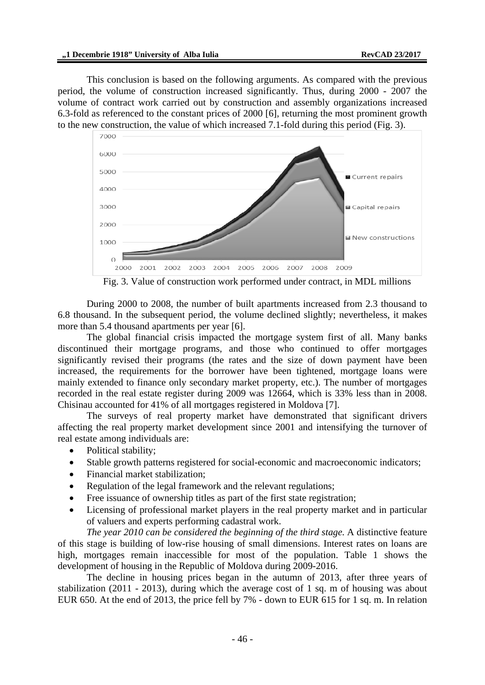This conclusion is based on the following arguments. As compared with the previous period, the volume of construction increased significantly. Thus, during 2000 - 2007 the volume of contract work carried out by construction and assembly organizations increased 6.3-fold as referenced to the constant prices of 2000 [6], returning the most prominent growth to the new construction, the value of which increased 7.1-fold during this period (Fig. 3).



Fig. 3. Value of construction work performed under contract, in MDL millions

During 2000 to 2008, the number of built apartments increased from 2.3 thousand to 6.8 thousand. In the subsequent period, the volume declined slightly; nevertheless, it makes more than 5.4 thousand apartments per year [6].

The global financial crisis impacted the mortgage system first of all. Many banks discontinued their mortgage programs, and those who continued to offer mortgages significantly revised their programs (the rates and the size of down payment have been increased, the requirements for the borrower have been tightened, mortgage loans were mainly extended to finance only secondary market property, etc.). The number of mortgages recorded in the real estate register during 2009 was 12664, which is 33% less than in 2008. Chisinau accounted for 41% of all mortgages registered in Moldova [7].

The surveys of real property market have demonstrated that significant drivers affecting the real property market development since 2001 and intensifying the turnover of real estate among individuals are:

- Political stability;
- Stable growth patterns registered for social-economic and macroeconomic indicators;
- Financial market stabilization;
- Regulation of the legal framework and the relevant regulations:
- Free issuance of ownership titles as part of the first state registration;
- Licensing of professional market players in the real property market and in particular of valuers and experts performing cadastral work.

*The year 2010 can be considered the beginning of the third stage.* A distinctive feature of this stage is building of low-rise housing of small dimensions. Interest rates on loans are high, mortgages remain inaccessible for most of the population. Table 1 shows the development of housing in the Republic of Moldova during 2009-2016.

The decline in housing prices began in the autumn of 2013, after three years of stabilization (2011 - 2013), during which the average cost of 1 sq. m of housing was about EUR 650. At the end of 2013, the price fell by 7% - down to EUR 615 for 1 sq. m. In relation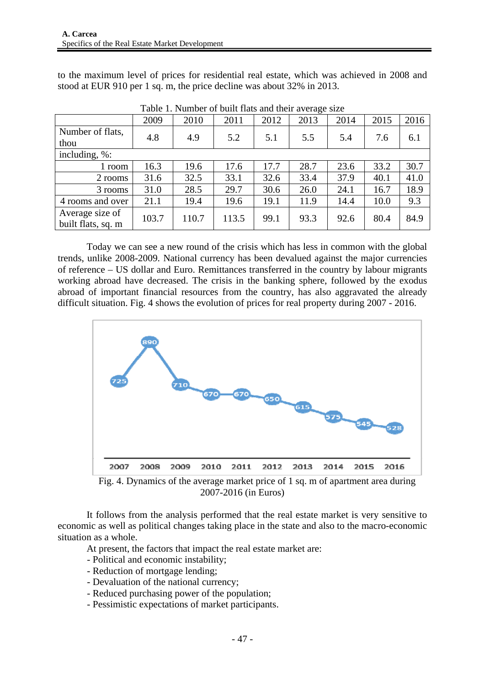to the maximum level of prices for residential real estate, which was achieved in 2008 and stood at EUR 910 per 1 sq. m, the price decline was about 32% in 2013.

| Table 1. INDITING OF BUILDINGS AND MICH AVERAGE SIZE |       |       |       |      |      |      |      |      |
|------------------------------------------------------|-------|-------|-------|------|------|------|------|------|
|                                                      | 2009  | 2010  | 2011  | 2012 | 2013 | 2014 | 2015 | 2016 |
| Number of flats,                                     | 4.8   | 4.9   | 5.2   | 5.1  | 5.5  | 5.4  | 7.6  | 6.1  |
| thou                                                 |       |       |       |      |      |      |      |      |
| including, %:                                        |       |       |       |      |      |      |      |      |
| 1 room                                               | 16.3  | 19.6  | 17.6  | 17.7 | 28.7 | 23.6 | 33.2 | 30.7 |
| 2 rooms                                              | 31.6  | 32.5  | 33.1  | 32.6 | 33.4 | 37.9 | 40.1 | 41.0 |
| 3 rooms                                              | 31.0  | 28.5  | 29.7  | 30.6 | 26.0 | 24.1 | 16.7 | 18.9 |
| 4 rooms and over                                     | 21.1  | 19.4  | 19.6  | 19.1 | 11.9 | 14.4 | 10.0 | 9.3  |
| Average size of                                      | 103.7 | 110.7 | 113.5 | 99.1 | 93.3 | 92.6 | 80.4 | 84.9 |
| built flats, sq. m                                   |       |       |       |      |      |      |      |      |

Table 1. Number of built flats and their average size

Today we can see a new round of the crisis which has less in common with the global trends, unlike 2008-2009. National currency has been devalued against the major currencies of reference – US dollar and Euro. Remittances transferred in the country by labour migrants working abroad have decreased. The crisis in the banking sphere, followed by the exodus abroad of important financial resources from the country, has also aggravated the already difficult situation. Fig. 4 shows the evolution of prices for real property during 2007 - 2016.



Fig. 4. Dynamics of the average market price of 1 sq. m of apartment area during 2007-2016 (in Euros)

It follows from the analysis performed that the real estate market is very sensitive to economic as well as political changes taking place in the state and also to the macro-economic situation as a whole.

At present, the factors that impact the real estate market are:

- Political and economic instability;
- Reduction of mortgage lending;
- Devaluation of the national currency;
- Reduced purchasing power of the population;
- Pessimistic expectations of market participants.